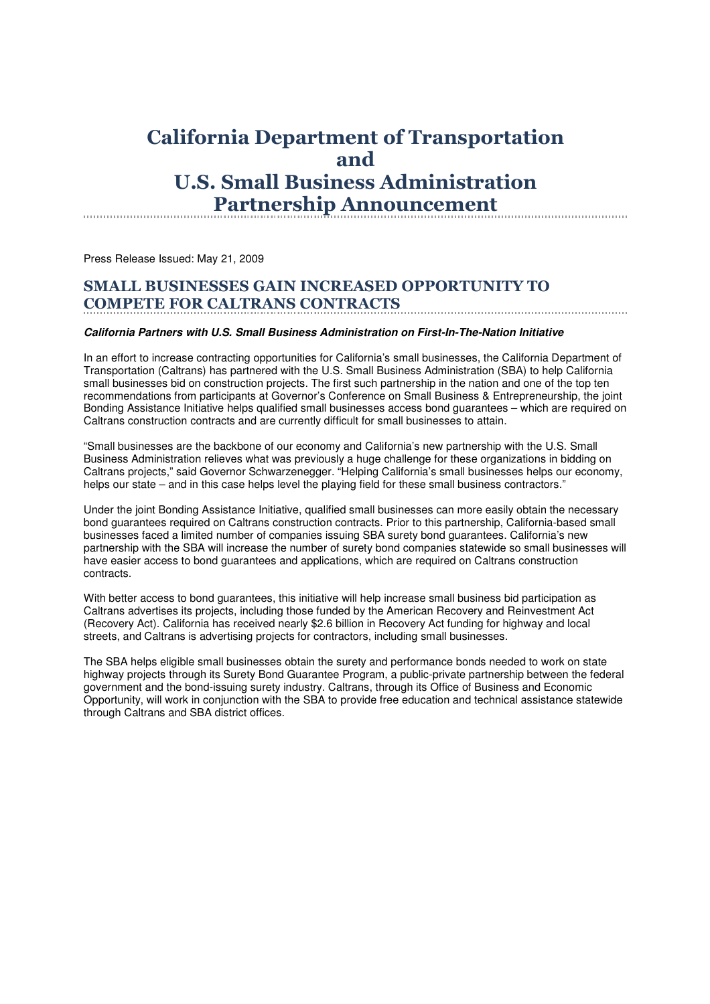## California Department of Transportation and U.S. Small Business Administration Partnership Announcement

Press Release Issued: May 21, 2009

#### SMALL BUSINESSES GAIN INCREASED OPPORTUNITY TO COMPETE FOR CALTRANS CONTRACTS

### **California Partners with U.S. Small Business Administration on First-In-The-Nation Initiative**

In an effort to increase contracting opportunities for California's small businesses, the California Department of Transportation (Caltrans) has partnered with the U.S. Small Business Administration (SBA) to help California small businesses bid on construction projects. The first such partnership in the nation and one of the top ten recommendations from participants at Governor's Conference on Small Business & Entrepreneurship, the joint Bonding Assistance Initiative helps qualified small businesses access bond guarantees – which are required on Caltrans construction contracts and are currently difficult for small businesses to attain.

"Small businesses are the backbone of our economy and California's new partnership with the U.S. Small Business Administration relieves what was previously a huge challenge for these organizations in bidding on Caltrans projects," said Governor Schwarzenegger. "Helping California's small businesses helps our economy, helps our state – and in this case helps level the playing field for these small business contractors."

Under the joint Bonding Assistance Initiative, qualified small businesses can more easily obtain the necessary bond guarantees required on Caltrans construction contracts. Prior to this partnership, California-based small businesses faced a limited number of companies issuing SBA surety bond guarantees. California's new partnership with the SBA will increase the number of surety bond companies statewide so small businesses will have easier access to bond guarantees and applications, which are required on Caltrans construction contracts.

With better access to bond guarantees, this initiative will help increase small business bid participation as Caltrans advertises its projects, including those funded by the American Recovery and Reinvestment Act (Recovery Act). California has received nearly \$2.6 billion in Recovery Act funding for highway and local streets, and Caltrans is advertising projects for contractors, including small businesses.

The SBA helps eligible small businesses obtain the surety and performance bonds needed to work on state highway projects through its Surety Bond Guarantee Program, a public-private partnership between the federal government and the bond-issuing surety industry. Caltrans, through its Office of Business and Economic Opportunity, will work in conjunction with the SBA to provide free education and technical assistance statewide through Caltrans and SBA district offices.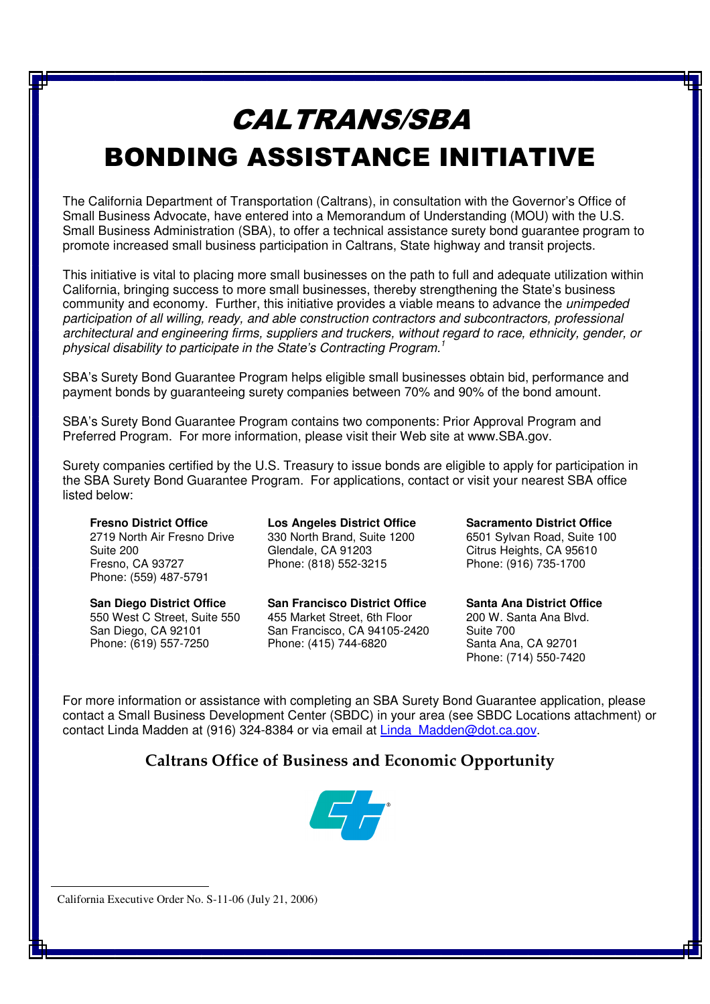# CALTRANS/SBA BONDING ASSISTANCE INITIATIVE

The California Department of Transportation (Caltrans), in consultation with the Governor's Office of Small Business Advocate, have entered into a Memorandum of Understanding (MOU) with the U.S. Small Business Administration (SBA), to offer a technical assistance surety bond guarantee program to promote increased small business participation in Caltrans, State highway and transit projects.

This initiative is vital to placing more small businesses on the path to full and adequate utilization within California, bringing success to more small businesses, thereby strengthening the State's business community and economy. Further, this initiative provides a viable means to advance the unimpeded participation of all willing, ready, and able construction contractors and subcontractors, professional architectural and engineering firms, suppliers and truckers, without regard to race, ethnicity, gender, or physical disability to participate in the State's Contracting Program.<sup>1</sup>

SBA's Surety Bond Guarantee Program helps eligible small businesses obtain bid, performance and payment bonds by guaranteeing surety companies between 70% and 90% of the bond amount.

SBA's Surety Bond Guarantee Program contains two components: Prior Approval Program and Preferred Program. For more information, please visit their Web site at www.SBA.gov.

Surety companies certified by the U.S. Treasury to issue bonds are eligible to apply for participation in the SBA Surety Bond Guarantee Program. For applications, contact or visit your nearest SBA office listed below:

**Fresno District Office** 2719 North Air Fresno Drive Suite 200 Fresno, CA 93727 Phone: (559) 487-5791

**San Diego District Office** 550 West C Street, Suite 550 San Diego, CA 92101 Phone: (619) 557-7250

**Los Angeles District Office** 330 North Brand, Suite 1200 Glendale, CA 91203 Phone: (818) 552-3215

**San Francisco District Office** 455 Market Street, 6th Floor San Francisco, CA 94105-2420 Phone: (415) 744-6820

**Sacramento District Office** 6501 Sylvan Road, Suite 100 Citrus Heights, CA 95610 Phone: (916) 735-1700

**Santa Ana District Office** 200 W. Santa Ana Blvd. Suite 700 Santa Ana, CA 92701 Phone: (714) 550-7420

For more information or assistance with completing an SBA Surety Bond Guarantee application, please contact a Small Business Development Center (SBDC) in your area (see SBDC Locations attachment) or contact Linda Madden at (916) 324-8384 or via email at Linda\_Madden@dot.ca.gov.

## **Caltrans Office of Business and Economic Opportunity**



California Executive Order No. S-11-06 (July 21, 2006)